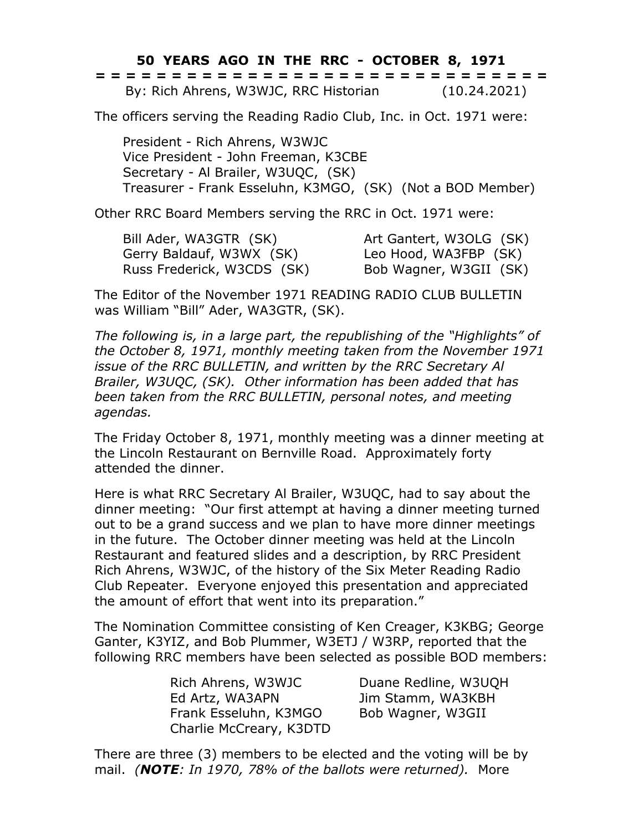## **50 YEARS AGO IN THE RRC - OCTOBER 8, 1971**

|  |  |  |  |  |  |  |  |  | ------------------------------<br>------------------------------ |  |  |  |  |              |  |
|--|--|--|--|--|--|--|--|--|------------------------------------------------------------------|--|--|--|--|--------------|--|
|  |  |  |  |  |  |  |  |  | By: Rich Ahrens, W3WJC, RRC Historian                            |  |  |  |  | (10.24.2021) |  |

The officers serving the Reading Radio Club, Inc. in Oct. 1971 were:

President - Rich Ahrens, W3WJC Vice President - John Freeman, K3CBE Secretary - Al Brailer, W3UQC, (SK) Treasurer - Frank Esseluhn, K3MGO, (SK) (Not a BOD Member)

Other RRC Board Members serving the RRC in Oct. 1971 were:

| Bill Ader, WA3GTR (SK)     | Art Gantert, W3OLG (SK) |
|----------------------------|-------------------------|
| Gerry Baldauf, W3WX (SK)   | Leo Hood, WA3FBP (SK)   |
| Russ Frederick, W3CDS (SK) | Bob Wagner, W3GII (SK)  |

The Editor of the November 1971 READING RADIO CLUB BULLETIN was William "Bill" Ader, WA3GTR, (SK).

*The following is, in a large part, the republishing of the "Highlights" of the October 8, 1971, monthly meeting taken from the November 1971 issue of the RRC BULLETIN, and written by the RRC Secretary Al Brailer, W3UQC, (SK). Other information has been added that has been taken from the RRC BULLETIN, personal notes, and meeting agendas.*

The Friday October 8, 1971, monthly meeting was a dinner meeting at the Lincoln Restaurant on Bernville Road. Approximately forty attended the dinner.

Here is what RRC Secretary Al Brailer, W3UQC, had to say about the dinner meeting: "Our first attempt at having a dinner meeting turned out to be a grand success and we plan to have more dinner meetings in the future. The October dinner meeting was held at the Lincoln Restaurant and featured slides and a description, by RRC President Rich Ahrens, W3WJC, of the history of the Six Meter Reading Radio Club Repeater. Everyone enjoyed this presentation and appreciated the amount of effort that went into its preparation."

The Nomination Committee consisting of Ken Creager, K3KBG; George Ganter, K3YIZ, and Bob Plummer, W3ETJ / W3RP, reported that the following RRC members have been selected as possible BOD members:

> Rich Ahrens, W3WJC Duane Redline, W3UQH Ed Artz, WA3APN Jim Stamm, WA3KBH Frank Esseluhn, K3MGO Bob Wagner, W3GII Charlie McCreary, K3DTD

There are three (3) members to be elected and the voting will be by mail. *(NOTE: In 1970, 78% of the ballots were returned).* More